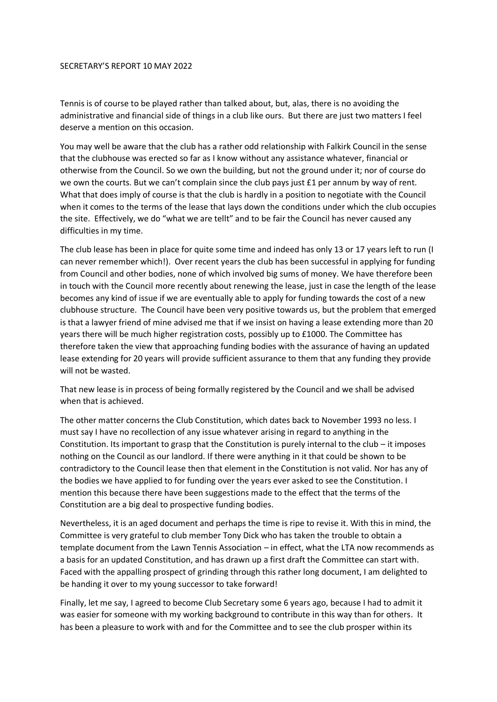## SECRETARY'S REPORT 10 MAY 2022

Tennis is of course to be played rather than talked about, but, alas, there is no avoiding the administrative and financial side of things in a club like ours. But there are just two matters I feel deserve a mention on this occasion.

You may well be aware that the club has a rather odd relationship with Falkirk Council in the sense that the clubhouse was erected so far as I know without any assistance whatever, financial or otherwise from the Council. So we own the building, but not the ground under it; nor of course do we own the courts. But we can't complain since the club pays just £1 per annum by way of rent. What that does imply of course is that the club is hardly in a position to negotiate with the Council when it comes to the terms of the lease that lays down the conditions under which the club occupies the site. Effectively, we do "what we are tellt" and to be fair the Council has never caused any difficulties in my time.

The club lease has been in place for quite some time and indeed has only 13 or 17 years left to run (I can never remember which!). Over recent years the club has been successful in applying for funding from Council and other bodies, none of which involved big sums of money. We have therefore been in touch with the Council more recently about renewing the lease, just in case the length of the lease becomes any kind of issue if we are eventually able to apply for funding towards the cost of a new clubhouse structure. The Council have been very positive towards us, but the problem that emerged is that a lawyer friend of mine advised me that if we insist on having a lease extending more than 20 years there will be much higher registration costs, possibly up to £1000. The Committee has therefore taken the view that approaching funding bodies with the assurance of having an updated lease extending for 20 years will provide sufficient assurance to them that any funding they provide will not be wasted.

That new lease is in process of being formally registered by the Council and we shall be advised when that is achieved.

The other matter concerns the Club Constitution, which dates back to November 1993 no less. I must say I have no recollection of any issue whatever arising in regard to anything in the Constitution. Its important to grasp that the Constitution is purely internal to the club – it imposes nothing on the Council as our landlord. If there were anything in it that could be shown to be contradictory to the Council lease then that element in the Constitution is not valid. Nor has any of the bodies we have applied to for funding over the years ever asked to see the Constitution. I mention this because there have been suggestions made to the effect that the terms of the Constitution are a big deal to prospective funding bodies.

Nevertheless, it is an aged document and perhaps the time is ripe to revise it. With this in mind, the Committee is very grateful to club member Tony Dick who has taken the trouble to obtain a template document from the Lawn Tennis Association – in effect, what the LTA now recommends as a basis for an updated Constitution, and has drawn up a first draft the Committee can start with. Faced with the appalling prospect of grinding through this rather long document, I am delighted to be handing it over to my young successor to take forward!

Finally, let me say, I agreed to become Club Secretary some 6 years ago, because I had to admit it was easier for someone with my working background to contribute in this way than for others. It has been a pleasure to work with and for the Committee and to see the club prosper within its